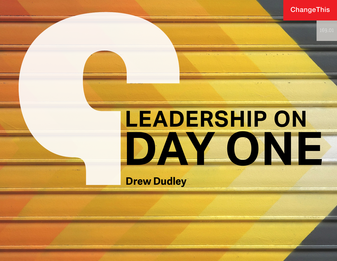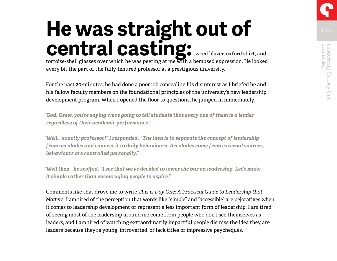# **He was straight out of central casting:** tweed blazer, oxford shirt, and

tortoise-shell glasses over which he was peering at me with a bemused expression. He looked every bit the part of the fully-tenured professor at a prestigious university.

For the past 20-minutes, he had done a poor job concealing his disinterest as I briefed he and his fellow faculty members on the foundational principles of the university's new leadership development program. When I opened the floor to questions, he jumped in immediately.

*"God, Drew, you're saying we're going to tell students that every one of them is a leader regardless of their academic performance."*

*"Well… exactly professor!" I responded. "The idea is to separate the concept of leadership from accolades and connect it to daily behaviours. Accolades come from external sources, behaviours are controlled personally."*

*"Well then," he scoffed. "I see that we've decided to lower the bar on leadership. Let's make it simple rather than encouraging people to aspire."*

Comments like that drove me to write *This is Day One: A Practical Guide to Leadership that Matters.* I am tired of the perception that words like "simple" and "accessible" are pejoratives when it comes to leadership development or represent a less important form of leadership. I am tired of seeing most of the leadership around me come from people who don't see themselves as leaders, and I am tired of watching extraordinarily impactful people dismiss the idea they are leaders because they're young, introverted, or lack titles or impressive paycheques.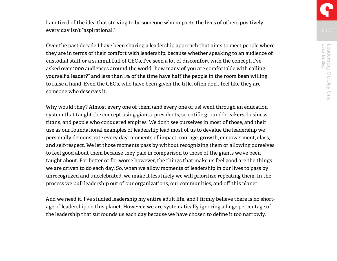I am tired of the idea that striving to be someone who impacts the lives of others positively every day isn't "aspirational."

Over the past decade I have been sharing a leadership approach that aims to meet people where they are in terms of their comfort with leadership, because whether speaking to an audience of custodial staff or a summit full of CEOs, I've seen a lot of discomfort with the concept. I've asked over 1000 audiences around the world "how many of you are comfortable with calling yourself a leader?" and less than 1% of the time have half the people in the room been willing to raise a hand. Even the CEOs, who have been given the title, often don't feel like they are someone who deserves it.

Why would they? Almost every one of them (and every one of us) went through an education system that taught the concept using giants: presidents, scientific ground-breakers, business titans, and people who conquered empires. We don't see ourselves in most of those, and their use as our foundational examples of leadership lead most of us to devalue the leadership we personally demonstrate every day: moments of impact, courage, growth, empowerment, class, and self-respect. We let those moments pass by without recognizing them or allowing ourselves to feel good about them because they pale in comparison to those of the giants we've been taught about. For better or for worse however, the things that make us feel good are the things we are driven to do each day. So, when we allow moments of leadership in our lives to pass by unrecognized and uncelebrated, we make it less likely we will prioritize repeating them. In the process we pull leadership out of our organizations, our communities, and off this planet.

And we need it. I've studied leadership my entire adult life, and I firmly believe there is no shortage of leadership on this planet. However, we are systematically ignoring a huge percentage of the leadership that surrounds us each day because we have chosen to define it too narrowly.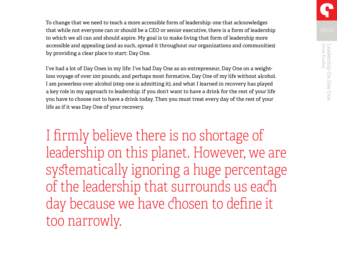To change that we need to teach a more accessible form of leadership: one that acknowledges that while not everyone can or should be a CEO or senior executive, there is a form of leadership to which we all can and should aspire. My goal is to make living that form of leadership more accessible and appealing (and as such, spread it throughout our organizations and communities) by providing a clear place to start: Day One.

I've had a lot of Day Ones in my life: I've had Day One as an entrepreneur, Day One on a weightloss voyage of over 100 pounds, and perhaps most formative, Day One of my life without alcohol. I am powerless over alcohol (step one is admitting it), and what I learned in recovery has played a key role in my approach to leadership: if you don't want to have a drink for the rest of your life you have to choose not to have a drink today. Then you must treat every day of the rest of your life as if it was Day One of your recovery.

I firmly believe there is no shortage of leadership on this planet. However, we are systematically ignoring a huge percentage of the leadership that surrounds us each day because we have chosen to define it too narrowly.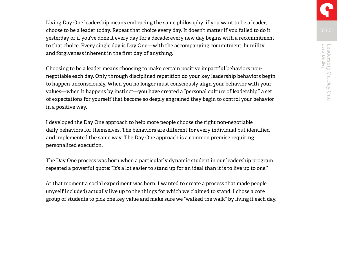Living Day One leadership means embracing the same philosophy: if you want to be a leader, choose to be a leader today. Repeat that choice every day. It doesn't matter if you failed to do it yesterday or if you've done it every day for a decade: every new day begins with a recommitment to that choice. Every single day is Day One—with the accompanying commitment, humility and forgiveness inherent in the first day of anything.

Choosing to be a leader means choosing to make certain positive impactful behaviors nonnegotiable each day. Only through disciplined repetition do your key leadership behaviors begin to happen unconsciously. When you no longer must consciously align your behavior with your values—when it happens by instinct—you have created a "personal culture of leadership," a set of expectations for yourself that become so deeply engrained they begin to control your behavior in a positive way.

I developed the Day One approach to help more people choose the right non-negotiable daily behaviors for themselves. The behaviors are different for every individual but identified and implemented the same way: The Day One approach is a common premise requiring personalized execution.

The Day One process was born when a particularly dynamic student in our leadership program repeated a powerful quote: "It's a lot easier to stand up for an ideal than it is to live up to one."

At that moment a social experiment was born. I wanted to create a process that made people (myself included) actually live up to the things for which we claimed to stand. I chose a core group of students to pick one key value and make sure we "walked the walk" by living it each day.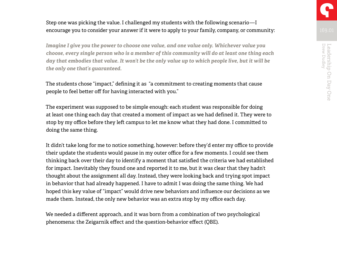## Step one was picking the value. I challenged my students with the following scenario—I encourage you to consider your answer if it were to apply to your family, company, or community:

*Imagine I give you the power to choose one value, and one value only. Whichever value you choose, every single person who is a member of this community will do at least one thing each day that embodies that value. It won't be the only value up to which people live, but it will be the only one that's guaranteed.*

The students chose "impact," defining it as "a commitment to creating moments that cause people to feel better off for having interacted with you."

The experiment was supposed to be simple enough: each student was responsible for doing at least one thing each day that created a moment of impact as we had defined it. They were to stop by my office before they left campus to let me know what they had done. I committed to doing the same thing.

It didn't take long for me to notice something, however: before they'd enter my office to provide their update the students would pause in my outer office for a few moments. I could see them thinking back over their day to identify a moment that satisfied the criteria we had established for impact. Inevitably they found one and reported it to me, but it was clear that they hadn't thought about the assignment all day. Instead, they were looking back and trying spot impact in behavior that had already happened. I have to admit I was doing the same thing. We had hoped this key value of "impact" would drive new behaviors and influence our decisions as we made them. Instead, the only new behavior was an extra stop by my office each day.

We needed a different approach, and it was born from a combination of two psychological phenomena: the Zeigarnik effect and the question-behavior effect (QBE).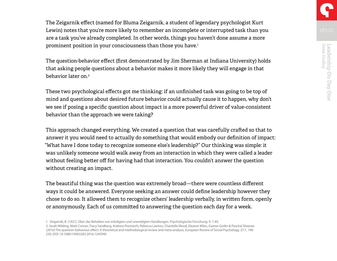The Zeigarnik effect (named for Bluma Zeigarnik, a student of legendary psychologist Kurt Lewin) notes that you're more likely to remember an incomplete or interrupted task than you are a task you've already completed. In other words, things you haven't done assume a more prominent position in your consciousness than those you have.<sup>1</sup>

The question-behavior effect (first demonstrated by Jim Sherman at Indiana University) holds that asking people questions about a behavior makes it more likely they will engage in that behavior later on.2

These two psychological effects got me thinking: if an unfinished task was going to be top of mind and questions about desired future behavior could actually cause it to happen, why don't we see if posing a specific question about impact is a more powerful driver of value-consistent behavior than the approach we were taking?

This approach changed everything. We created a question that was carefully crafted so that to answer it you would need to actually do something that would embody our definition of impact: "What have I done today to recognize someone else's leadership?" Our thinking was simple: it was unlikely someone would walk away from an interaction in which they were called a leader without feeling better off for having had that interaction. You couldn't answer the question without creating an impact.

The beautiful thing was the question was extremely broad—there were countless different ways it could be answered. Everyone seeking an answer could define leadership however they chose to do so. It allowed them to recognize others' leadership verbally, in written form, openly or anonymously. Each of us committed to answering the question each day for a week.

<sup>1.</sup> Zeigarnik, B. (1927). Über das Behalten von erledigten und uneredigten Handlungen. Psychologische Forschung. 9. 1-85. 2. Sarah Wilding, Mark Conner, Tracy Sandberg, Andrew Prestwich, Rebecca Lawton, Chantelle Wood, Eleanor Miles, Gaston Godin & Paschal Sheeran (2016) The question-behaviour effect: A theoretical and methodological review and meta-analysis, European Review of Social Psychology, 27:1, 196- 230, DOI: 10.1080/10463283.2016.1245940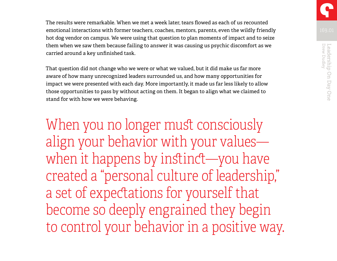The results were remarkable. When we met a week later, tears flowed as each of us recounted emotional interactions with former teachers, coaches, mentors, parents, even the wildly friendly hot dog vendor on campus. We were using that question to plan moments of impact and to seize them when we saw them because failing to answer it was causing us psychic discomfort as we carried around a key unfinished task.

That question did not change who we were or what we valued, but it did make us far more aware of how many unrecognized leaders surrounded us, and how many opportunities for impact we were presented with each day. More importantly, it made us far less likely to allow those opportunities to pass by without acting on them. It began to align what we claimed to stand for with how we were behaving.

When you no longer must consciously align your behavior with your values when it happens by instinct—you have created a "personal culture of leadership," a set of expectations for yourself that become so deeply engrained they begin to control your behavior in a positive way.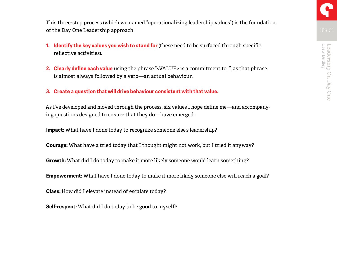This three-step process (which we named "operationalizing leadership values") is the foundation of the Day One Leadership approach:

**1. Identify the key values you wish to stand for** (these need to be surfaced through specific reflective activities).

- **2. Clearly define each value** using the phrase "<VALUE> is a commitment to…", as that phrase is almost always followed by a verb—an actual behaviour.
- **3. Create a question that will drive behaviour consistent with that value.**

As I've developed and moved through the process, six values I hope define me—and accompanying questions designed to ensure that they do—have emerged:

**Impact:** What have I done today to recognize someone else's leadership?

**Courage:** What have a tried today that I thought might not work, but I tried it anyway?

**Growth:** What did I do today to make it more likely someone would learn something?

**Empowerment:** What have I done today to make it more likely someone else will reach a goal?

**Class:** How did I elevate instead of escalate today?

**Self-respect:** What did I do today to be good to myself?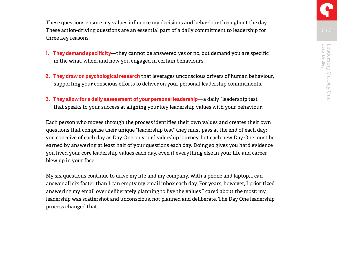These questions ensure my values influence my decisions and behaviour throughout the day. These action-driving questions are an essential part of a daily commitment to leadership for three key reasons:

- **1. They demand specificity**—they cannot be answered yes or no, but demand you are specific in the what, when, and how you engaged in certain behaviours.
- **2. They draw on psychological research** that leverages unconscious drivers of human behaviour, supporting your conscious efforts to deliver on your personal leadership commitments.
- **3. They allow for a daily assessment of your personal leadership**—a daily "leadership test" that speaks to your success at aligning your key leadership values with your behaviour.

Each person who moves through the process identifies their own values and creates their own questions that comprise their unique "leadership test" they must pass at the end of each day: you conceive of each day as Day One on your leadership journey, but each new Day One must be earned by answering at least half of your questions each day. Doing so gives you hard evidence you lived your core leadership values each day, even if everything else in your life and career blew up in your face.

My six questions continue to drive my life and my company. With a phone and laptop, I can answer all six faster than I can empty my email inbox each day. For years, however, I prioritized answering my email over deliberately planning to live the values I cared about the most: my leadership was scattershot and unconscious, not planned and deliberate. The Day One leadership process changed that.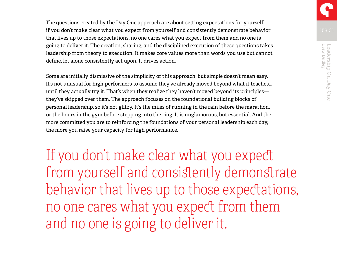The questions created by the Day One approach are about setting expectations for yourself: if you don't make clear what you expect from yourself and consistently demonstrate behavior that lives up to those expectations, no one cares what you expect from them and no one is going to deliver it. The creation, sharing, and the disciplined execution of these questions takes leadership from theory to execution. It makes core values more than words you use but cannot define, let alone consistently act upon. It drives action.

Some are initially dismissive of the simplicity of this approach, but simple doesn't mean easy. It's not unusual for high-performers to assume they've already moved beyond what it teaches... until they actually try it. That's when they realize they haven't moved beyond its principles they've skipped over them. The approach focuses on the foundational building blocks of personal leadership, so it's not glitzy. It's the miles of running in the rain before the marathon, or the hours in the gym before stepping into the ring. It is unglamorous, but essential. And the more committed you are to reinforcing the foundations of your personal leadership each day, the more you raise your capacity for high performance.

If you don't make clear what you expect from yourself and consistently demonstrate behavior that lives up to those expectations, no one cares what you expect from them and no one is going to deliver it.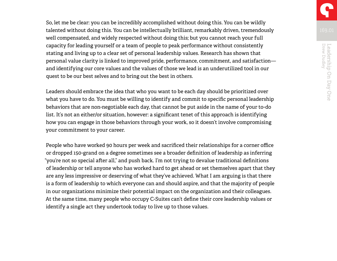So, let me be clear: you can be incredibly accomplished without doing this. You can be wildly talented without doing this. You can be intellectually brilliant, remarkably driven, tremendously well compensated, and widely respected without doing this; but you cannot reach your full capacity for leading yourself or a team of people to peak performance without consistently stating and living up to a clear set of personal leadership values. Research has shown that personal value clarity is linked to improved pride, performance, commitment, and satisfaction and identifying our core values and the values of those we lead is an underutilized tool in our quest to be our best selves and to bring out the best in others.

Leaders should embrace the idea that who you want to be each day should be prioritized over what you have to do. You must be willing to identify and commit to specific personal leadership behaviors that are non-negotiable each day, that cannot be put aside in the name of your to-do list. It's not an either/or situation, however: a significant tenet of this approach is identifying how you can engage in those behaviors through your work, so it doesn't involve compromising your commitment to your career.

People who have worked 90 hours per week and sacrificed their relationships for a corner office or dropped 150-grand on a degree sometimes see a broader definition of leadership as inferring "you're not so special after all," and push back. I'm not trying to devalue traditional definitions of leadership or tell anyone who has worked hard to get ahead or set themselves apart that they are any less impressive or deserving of what they've achieved. What I am arguing is that there is a form of leadership to which everyone can and should aspire, and that the majority of people in our organizations minimize their potential impact on the organization and their colleagues. At the same time, many people who occupy C-Suites can't define their core leadership values or identify a single act they undertook today to live up to those values.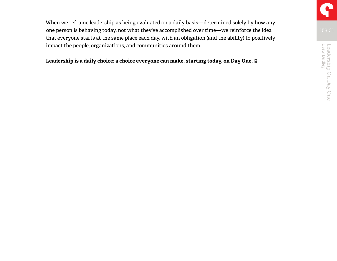When we reframe leadership as being evaluated on a daily basis—determined solely by how any one person is behaving today, not what they've accomplished over time—we reinforce the idea that everyone starts at the same place each day, with an obligation (and the ability) to positively impact the people, organizations, and communities around them.

## **Leadership is a daily choice: a choice everyone can make, starting today, on Day One.**